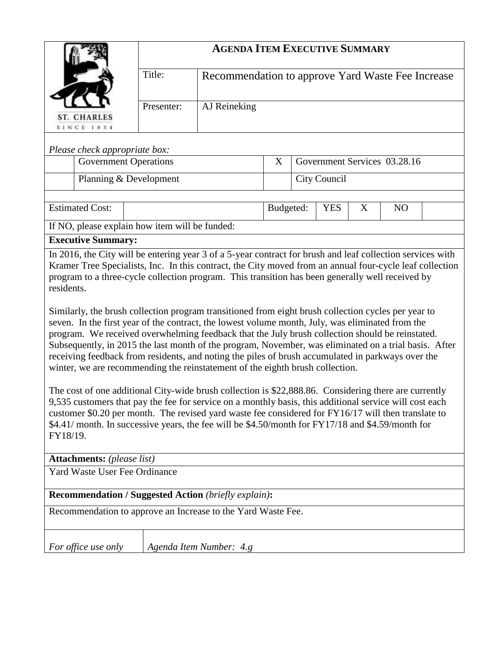|                                                                                                                                                                                                                                                                                                                                                                                                                                                                                                                                                                                                                                                                                                                                                                                                                                                                                                                                                                                                                                                                                                                                                                                                                                                                                     | <b>AGENDA ITEM EXECUTIVE SUMMARY</b> |                                                   |  |                                                |              |  |  |  |
|-------------------------------------------------------------------------------------------------------------------------------------------------------------------------------------------------------------------------------------------------------------------------------------------------------------------------------------------------------------------------------------------------------------------------------------------------------------------------------------------------------------------------------------------------------------------------------------------------------------------------------------------------------------------------------------------------------------------------------------------------------------------------------------------------------------------------------------------------------------------------------------------------------------------------------------------------------------------------------------------------------------------------------------------------------------------------------------------------------------------------------------------------------------------------------------------------------------------------------------------------------------------------------------|--------------------------------------|---------------------------------------------------|--|------------------------------------------------|--------------|--|--|--|
|                                                                                                                                                                                                                                                                                                                                                                                                                                                                                                                                                                                                                                                                                                                                                                                                                                                                                                                                                                                                                                                                                                                                                                                                                                                                                     | Title:                               | Recommendation to approve Yard Waste Fee Increase |  |                                                |              |  |  |  |
| <b>ST. CHARLES</b><br><b>SINCE 1834</b>                                                                                                                                                                                                                                                                                                                                                                                                                                                                                                                                                                                                                                                                                                                                                                                                                                                                                                                                                                                                                                                                                                                                                                                                                                             | AJ Reineking<br>Presenter:           |                                                   |  |                                                |              |  |  |  |
|                                                                                                                                                                                                                                                                                                                                                                                                                                                                                                                                                                                                                                                                                                                                                                                                                                                                                                                                                                                                                                                                                                                                                                                                                                                                                     |                                      |                                                   |  |                                                |              |  |  |  |
| Please check appropriate box:<br><b>Government Operations</b>                                                                                                                                                                                                                                                                                                                                                                                                                                                                                                                                                                                                                                                                                                                                                                                                                                                                                                                                                                                                                                                                                                                                                                                                                       |                                      |                                                   |  | Government Services 03.28.16                   |              |  |  |  |
| Planning & Development                                                                                                                                                                                                                                                                                                                                                                                                                                                                                                                                                                                                                                                                                                                                                                                                                                                                                                                                                                                                                                                                                                                                                                                                                                                              |                                      |                                                   |  |                                                | City Council |  |  |  |
|                                                                                                                                                                                                                                                                                                                                                                                                                                                                                                                                                                                                                                                                                                                                                                                                                                                                                                                                                                                                                                                                                                                                                                                                                                                                                     |                                      |                                                   |  |                                                |              |  |  |  |
| <b>Estimated Cost:</b>                                                                                                                                                                                                                                                                                                                                                                                                                                                                                                                                                                                                                                                                                                                                                                                                                                                                                                                                                                                                                                                                                                                                                                                                                                                              |                                      |                                                   |  | Budgeted:<br><b>YES</b><br>X<br>N <sub>O</sub> |              |  |  |  |
| If NO, please explain how item will be funded:                                                                                                                                                                                                                                                                                                                                                                                                                                                                                                                                                                                                                                                                                                                                                                                                                                                                                                                                                                                                                                                                                                                                                                                                                                      |                                      |                                                   |  |                                                |              |  |  |  |
| <b>Executive Summary:</b><br>In 2016, the City will be entering year 3 of a 5-year contract for brush and leaf collection services with                                                                                                                                                                                                                                                                                                                                                                                                                                                                                                                                                                                                                                                                                                                                                                                                                                                                                                                                                                                                                                                                                                                                             |                                      |                                                   |  |                                                |              |  |  |  |
| Kramer Tree Specialists, Inc. In this contract, the City moved from an annual four-cycle leaf collection<br>program to a three-cycle collection program. This transition has been generally well received by<br>residents.<br>Similarly, the brush collection program transitioned from eight brush collection cycles per year to<br>seven. In the first year of the contract, the lowest volume month, July, was eliminated from the<br>program. We received overwhelming feedback that the July brush collection should be reinstated.<br>Subsequently, in 2015 the last month of the program, November, was eliminated on a trial basis. After<br>receiving feedback from residents, and noting the piles of brush accumulated in parkways over the<br>winter, we are recommending the reinstatement of the eighth brush collection.<br>The cost of one additional City-wide brush collection is \$22,888.86. Considering there are currently<br>9,535 customers that pay the fee for service on a monthly basis, this additional service will cost each<br>customer \$0.20 per month. The revised yard waste fee considered for FY16/17 will then translate to<br>\$4.41/ month. In successive years, the fee will be \$4.50/month for FY17/18 and \$4.59/month for<br>FY18/19. |                                      |                                                   |  |                                                |              |  |  |  |
| <b>Attachments:</b> (please list)<br>Yard Waste User Fee Ordinance                                                                                                                                                                                                                                                                                                                                                                                                                                                                                                                                                                                                                                                                                                                                                                                                                                                                                                                                                                                                                                                                                                                                                                                                                  |                                      |                                                   |  |                                                |              |  |  |  |
|                                                                                                                                                                                                                                                                                                                                                                                                                                                                                                                                                                                                                                                                                                                                                                                                                                                                                                                                                                                                                                                                                                                                                                                                                                                                                     |                                      |                                                   |  |                                                |              |  |  |  |
| <b>Recommendation / Suggested Action (briefly explain):</b>                                                                                                                                                                                                                                                                                                                                                                                                                                                                                                                                                                                                                                                                                                                                                                                                                                                                                                                                                                                                                                                                                                                                                                                                                         |                                      |                                                   |  |                                                |              |  |  |  |
| Recommendation to approve an Increase to the Yard Waste Fee.                                                                                                                                                                                                                                                                                                                                                                                                                                                                                                                                                                                                                                                                                                                                                                                                                                                                                                                                                                                                                                                                                                                                                                                                                        |                                      |                                                   |  |                                                |              |  |  |  |
| For office use only                                                                                                                                                                                                                                                                                                                                                                                                                                                                                                                                                                                                                                                                                                                                                                                                                                                                                                                                                                                                                                                                                                                                                                                                                                                                 |                                      | Agenda Item Number: 4.g                           |  |                                                |              |  |  |  |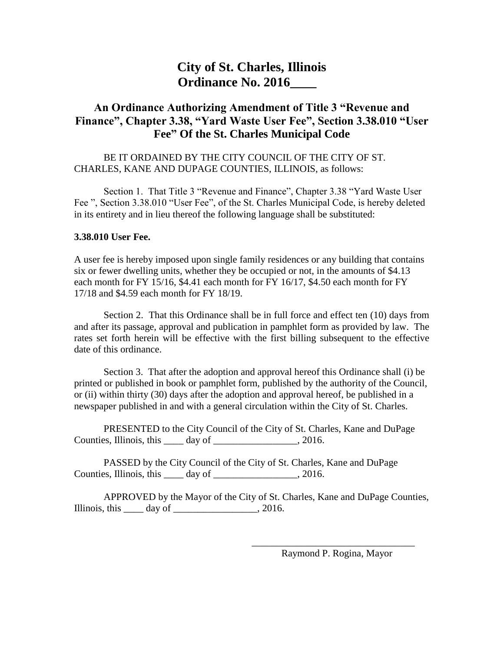## **City of St. Charles, Illinois Ordinance No. 2016\_\_\_\_**

## **An Ordinance Authorizing Amendment of Title 3 "Revenue and Finance", Chapter 3.38, "Yard Waste User Fee", Section 3.38.010 "User Fee" Of the St. Charles Municipal Code**

## BE IT ORDAINED BY THE CITY COUNCIL OF THE CITY OF ST. CHARLES, KANE AND DUPAGE COUNTIES, ILLINOIS, as follows:

Section 1. That Title 3 "Revenue and Finance", Chapter 3.38 "Yard Waste User Fee ", Section 3.38.010 "User Fee", of the St. Charles Municipal Code, is hereby deleted in its entirety and in lieu thereof the following language shall be substituted:

## **3.38.010 User Fee.**

A user fee is hereby imposed upon single family residences or any building that contains six or fewer dwelling units, whether they be occupied or not, in the amounts of \$4.13 each month for FY 15/16, \$4.41 each month for FY 16/17, \$4.50 each month for FY 17/18 and \$4.59 each month for FY 18/19.

Section 2. That this Ordinance shall be in full force and effect ten (10) days from and after its passage, approval and publication in pamphlet form as provided by law. The rates set forth herein will be effective with the first billing subsequent to the effective date of this ordinance.

Section 3. That after the adoption and approval hereof this Ordinance shall (i) be printed or published in book or pamphlet form, published by the authority of the Council, or (ii) within thirty (30) days after the adoption and approval hereof, be published in a newspaper published in and with a general circulation within the City of St. Charles.

PRESENTED to the City Council of the City of St. Charles, Kane and DuPage Counties, Illinois, this day of the set of the 2016.

PASSED by the City Council of the City of St. Charles, Kane and DuPage Counties, Illinois, this day of \_\_\_\_\_\_\_\_\_\_\_\_\_\_\_\_, 2016.

APPROVED by the Mayor of the City of St. Charles, Kane and DuPage Counties, Illinois, this  $\_\_\_\_$  day of  $\_\_\_\_\_\_\_$ , 2016.

> \_\_\_\_\_\_\_\_\_\_\_\_\_\_\_\_\_\_\_\_\_\_\_\_\_\_\_\_\_\_\_\_\_ Raymond P. Rogina, Mayor